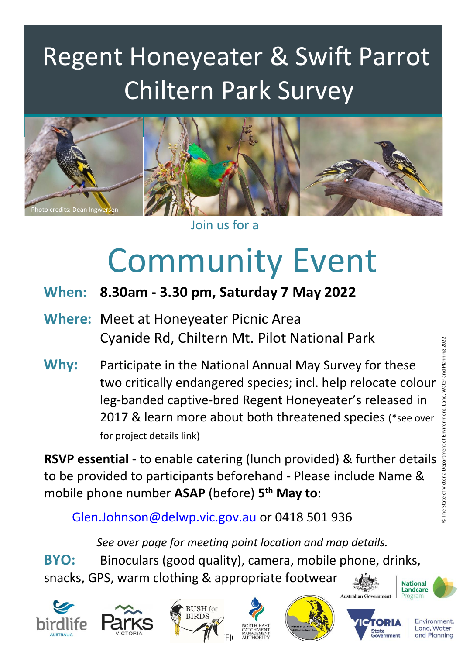## Regent Honeyeater & Swift Parrot Chiltern Park Survey



#### Join us for a

# Community Event

- **When: 8.30am - 3.30 pm, Saturday 7 May 2022**
- **Where:** Meet at Honeyeater Picnic Area Cyanide Rd, Chiltern Mt. Pilot National Park
- **Why:** Participate in the National Annual May Survey for these two critically endangered species; incl. help relocate colour leg-banded captive-bred Regent Honeyeater's released in 2017 & learn more about both threatened species (\*see over for project details link)

**RSVP essential** - to enable catering (lunch provided) & further details to be provided to participants beforehand - Please include Name & mobile phone number **ASAP** (before) **5 th May to**:

[Glen.Johnson@delwp.vic.gov.au](mailto:Glen.Johnson@delwp.vic.gov.au) or 0418 501 936

*See over page for meeting point location and map details.*

**BYO:** Binoculars (good quality), camera, mobile phone, drinks, snacks, GPS, warm clothing & appropriate footwear **National** 















Environment, Land, Water and Planning